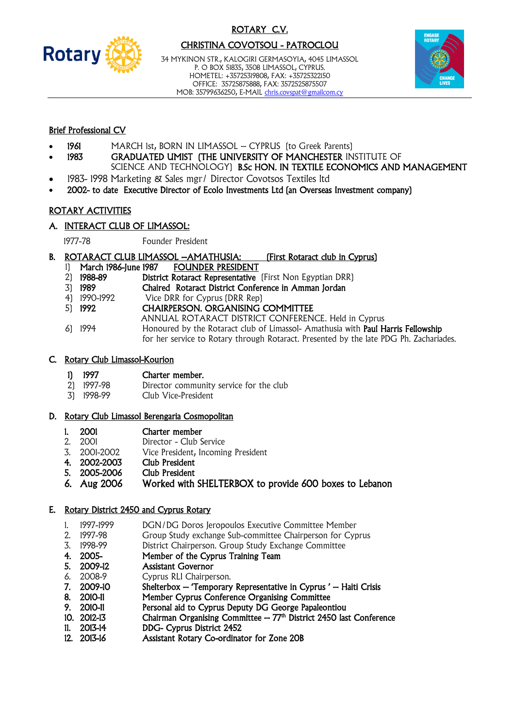

# ROTARY C.V. CHRISTINA COVOTSOU - PATROCLOU

34 MYKINON STR., KALOGIRI GERMASOYIA, 4045 LIMASSOL P. O BOX 51835, 3508 LIMASSOL, CYPRUS. HOMETEL: +35725319808, FAX: +35725322150 OFFICE: 35725875888, FAX: 3572525875507 MOB: 35799636250, E-MAIL [chris.covspat@gmailcom.cy](mailto:chris.covspat@gmailcom.cy)



# Brief Professional CV

- 1961 MARCH 1st, BORN IN LIMASSOL CYPRUS (to Greek Parents)
- 1983 GRADUATED UMIST (THE UNIVERSITY OF MANCHESTER INSTITUTE OF SCIENCE AND TECHNOLOGY) B.Sc HON. IN TEXTILE ECONOMICS AND MANAGEMENT
- 1983- 1998 Marketing & Sales mgr/ Director Covotsos Textiles ltd
- 2002- to date Executive Director of Ecolo Investments Ltd (an Overseas Investment company)

# ROTARY ACTIVITIES

#### A. INTERACT CLUB OF LIMASSOL:

1977-78 Founder President

- B. ROTARACT CLUB LIMASSOL AMATHUSIA: [First Rotaract club in Cyprus]
	- 1) March 1986-June 1987 FOUNDER PRESIDENT
	- 2) 1988-89 District Rotaract Representative (First Non Egyptian DRR)
	- 3) 1989 Chaired Rotaract District Conference in Amman Jordan
	- 4) 1990-1992 Vice DRR for Cyprus (DRR Rep)
	- 5) 1992 CHAIRPERSON. ORGANISING COMMITTEE
		- ANNUAL ROTARACT DISTRICT CONFERENCE. Held in Cyprus
	- 6) 1994 Honoured by the Rotaract club of Limassol- Amathusia with Paul Harris Fellowship for her service to Rotary through Rotaract. Presented by the late PDG Ph. Zachariades.

#### C. Rotary Club Limassol-Kourion

- 1) 1997 Charter member.
- 2) 1997-98 Director community service for the club
- 3) 1998-99 Club Vice-President

#### D. Rotary Club Limassol Berengaria Cosmopolitan

- 1. 2001 Charter member
- 2. 2001 Director Club Service
- 3. 2001-2002 Vice President, Incoming President
- 4. 2002-2003 Club President
- 5. 2005-2006 Club President
- 6. Aug 2006 Worked with SHELTERBOX to provide 600 boxes to Lebanon

# E. Rotary District 2450 and Cyprus Rotary

- 1. 1997-1999 DGN/DG Doros Jeropoulos Executive Committee Member
- 2. 1997-98 Group Study exchange Sub-committee Chairperson for Cyprus
- 3. 1998-99 District Chairperson. Group Study Exchange Committee
- 4. 2005- Member of the Cyprus Training Team
- 5. 2009-12 Assistant Governor
- 6. 2008-9 Cyprus RLI Chairperson.
- 7. 2009-10 Shelterbox 'Temporary Representative in Cyprus ' Haiti Crisis
- 8. 2010-11 Member Cyprus Conference Organising Committee
- 9. 2010-11 Personal aid to Cyprus Deputy DG George Papaleontiou
- 10.  $2012-13$  Chairman Organising Committee  $-77<sup>th</sup>$  District 2450 last Conference
- 11. 2013-14 DDG- Cyprus District 2452
- 12. 2013-16 Assistant Rotary Co-ordinator for Zone 20B